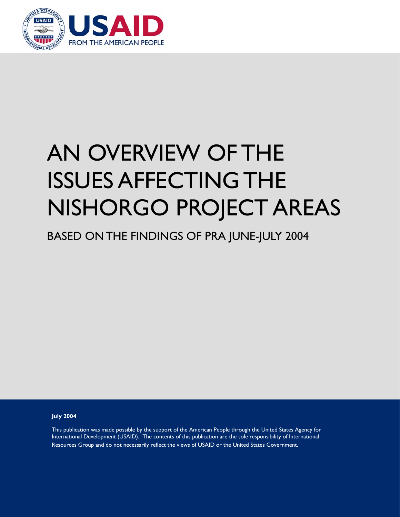

# AN OVERVIEW OF THE ISSUES AFFECTING THE NISHORGO PROJECT AREAS

BASED ON THE FINDINGS OF PRA JUNE-JULY 2004

**July 2004** 

This publication was made possible by the support of the American People through the United States Agency for International Development (USAID). The contents of this publication are the sole responsibility of International Resources Group and do not necessarily reflect the views of USAID or the United States Government.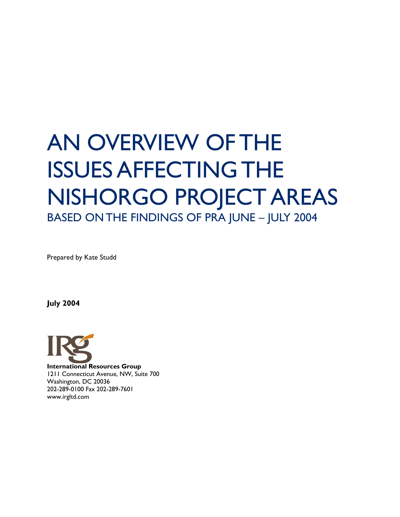## AN OVERVIEW OF THE ISSUES AFFECTING THE NISHORGO PROJECT AREAS BASED ON THE FINDINGS OF PRA JUNE – JULY 2004

Prepared by Kate Studd

**July 2004** 

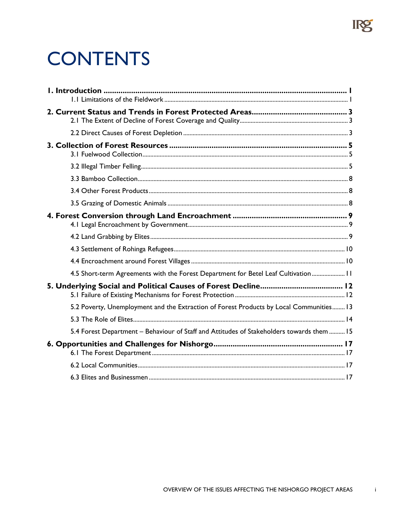### **CONTENTS**

| 4.5 Short-term Agreements with the Forest Department for Betel Leaf Cultivation 11       |  |
|------------------------------------------------------------------------------------------|--|
|                                                                                          |  |
| 5.2 Poverty, Unemployment and the Extraction of Forest Products by Local Communities 13  |  |
|                                                                                          |  |
| 5.4 Forest Department - Behaviour of Staff and Attitudes of Stakeholders towards them 15 |  |
|                                                                                          |  |
|                                                                                          |  |
|                                                                                          |  |

IRg

 $\mathbf{i}$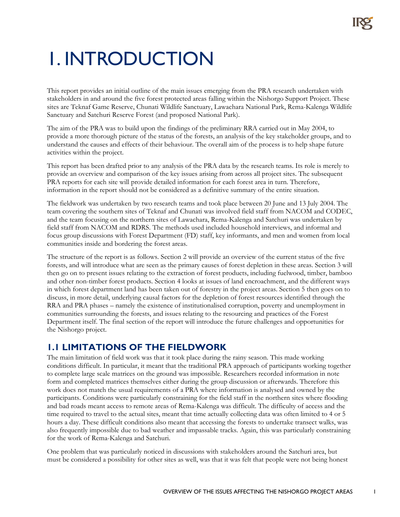## 1. INTRODUCTION

This report provides an initial outline of the main issues emerging from the PRA research undertaken with stakeholders in and around the five forest protected areas falling within the Nishorgo Support Project. These sites are Teknaf Game Reserve, Chunati Wildlife Sanctuary, Lawachara National Park, Rema-Kalenga Wildlife Sanctuary and Satchuri Reserve Forest (and proposed National Park).

The aim of the PRA was to build upon the findings of the preliminary RRA carried out in May 2004, to provide a more thorough picture of the status of the forests, an analysis of the key stakeholder groups, and to understand the causes and effects of their behaviour. The overall aim of the process is to help shape future activities within the project.

This report has been drafted prior to any analysis of the PRA data by the research teams. Its role is merely to provide an overview and comparison of the key issues arising from across all project sites. The subsequent PRA reports for each site will provide detailed information for each forest area in turn. Therefore, information in the report should not be considered as a definitive summary of the entire situation.

The fieldwork was undertaken by two research teams and took place between 20 June and 13 July 2004. The team covering the southern sites of Teknaf and Chunati was involved field staff from NACOM and CODEC, and the team focusing on the northern sites of Lawachara, Rema-Kalenga and Satchuri was undertaken by field staff from NACOM and RDRS. The methods used included household interviews, and informal and focus group discussions with Forest Department (FD) staff, key informants, and men and women from local communities inside and bordering the forest areas.

The structure of the report is as follows. Section 2 will provide an overview of the current status of the five forests, and will introduce what are seen as the primary causes of forest depletion in these areas. Section 3 will then go on to present issues relating to the extraction of forest products, including fuelwood, timber, bamboo and other non-timber forest products. Section 4 looks at issues of land encroachment, and the different ways in which forest department land has been taken out of forestry in the project areas. Section 5 then goes on to discuss, in more detail, underlying causal factors for the depletion of forest resources identified through the RRA and PRA phases – namely the existence of institutionalised corruption, poverty and unemployment in communities surrounding the forests, and issues relating to the resourcing and practices of the Forest Department itself. The final section of the report will introduce the future challenges and opportunities for the Nishorgo project.

#### **1.1 LIMITATIONS OF THE FIELDWORK**

The main limitation of field work was that it took place during the rainy season. This made working conditions difficult. In particular, it meant that the traditional PRA approach of participants working together to complete large scale matrices on the ground was impossible. Researchers recorded information in note form and completed matrices themselves either during the group discussion or afterwards. Therefore this work does not match the usual requirements of a PRA where information is analysed and owned by the participants. Conditions were particularly constraining for the field staff in the northern sites where flooding and bad roads meant access to remote areas of Rema-Kalenga was difficult. The difficulty of access and the time required to travel to the actual sites, meant that time actually collecting data was often limited to 4 or 5 hours a day. These difficult conditions also meant that accessing the forests to undertake transect walks, was also frequently impossible due to bad weather and impassable tracks. Again, this was particularly constraining for the work of Rema-Kalenga and Satchuri.

One problem that was particularly noticed in discussions with stakeholders around the Satchuri area, but must be considered a possibility for other sites as well, was that it was felt that people were not being honest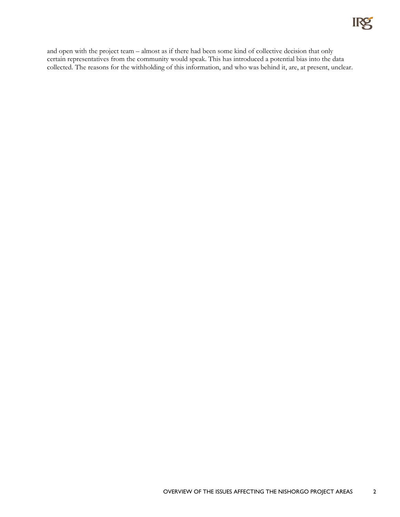

and open with the project team – almost as if there had been some kind of collective decision that only certain representatives from the community would speak. This has introduced a potential bias into the data collected. The reasons for the withholding of this information, and who was behind it, are, at present, unclear.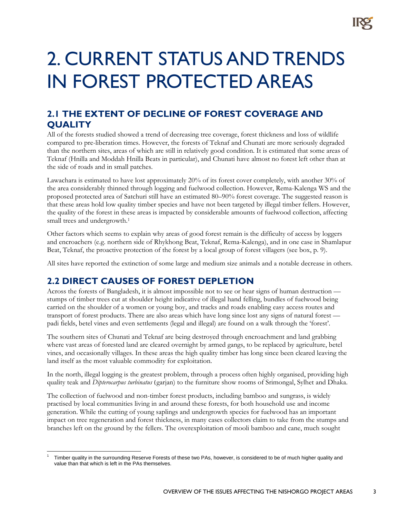### 2. CURRENT STATUS AND TRENDS IN FOREST PROTECTED AREAS

#### **2.1 THE EXTENT OF DECLINE OF FOREST COVERAGE AND QUALITY**

All of the forests studied showed a trend of decreasing tree coverage, forest thickness and loss of wildlife compared to pre-liberation times. However, the forests of Teknaf and Chunati are more seriously degraded than the northern sites, areas of which are still in relatively good condition. It is estimated that some areas of Teknaf (Hnilla and Moddah Hnilla Beats in particular), and Chunati have almost no forest left other than at the side of roads and in small patches.

Lawachara is estimated to have lost approximately 20% of its forest cover completely, with another 30% of the area considerably thinned through logging and fuelwood collection. However, Rema-Kalenga WS and the proposed protected area of Satchuri still have an estimated 80–90% forest coverage. The suggested reason is that these areas hold low quality timber species and have not been targeted by illegal timber fellers. However, the quality of the forest in these areas is impacted by considerable amounts of fuelwood collection, affecting small trees and undergrowth.<sup>1</sup>

Other factors which seems to explain why areas of good forest remain is the difficulty of access by loggers and encroachers (e.g. northern side of Rhykhong Beat, Teknaf, Rema-Kalenga), and in one case in Shamlapur Beat, Teknaf, the proactive protection of the forest by a local group of forest villagers (see box, p. 9).

All sites have reported the extinction of some large and medium size animals and a notable decrease in others.

#### **2.2 DIRECT CAUSES OF FOREST DEPLETION**

<u>.</u>

Across the forests of Bangladesh, it is almost impossible not to see or hear signs of human destruction stumps of timber trees cut at shoulder height indicative of illegal hand felling, bundles of fuelwood being carried on the shoulder of a women or young boy, and tracks and roads enabling easy access routes and transport of forest products. There are also areas which have long since lost any signs of natural forest padi fields, betel vines and even settlements (legal and illegal) are found on a walk through the 'forest'.

The southern sites of Chunati and Teknaf are being destroyed through encroachment and land grabbing where vast areas of forested land are cleared overnight by armed gangs, to be replaced by agriculture, betel vines, and occasionally villages. In these areas the high quality timber has long since been cleared leaving the land itself as the most valuable commodity for exploitation.

In the north, illegal logging is the greatest problem, through a process often highly organised, providing high quality teak and *Dipterocarpus turbinatus (*garjan) to the furniture show rooms of Srimongal, Sylhet and Dhaka.

The collection of fuelwood and non-timber forest products, including bamboo and sungrass, is widely practised by local communities living in and around these forests, for both household use and income generation. While the cutting of young saplings and undergrowth species for fuelwood has an important impact on tree regeneration and forest thickness, in many cases collectors claim to take from the stumps and branches left on the ground by the fellers. The overexploitation of mooli bamboo and cane, much sought

<sup>1</sup> Timber quality in the surrounding Reserve Forests of these two PAs, however, is considered to be of much higher quality and value than that which is left in the PAs themselves.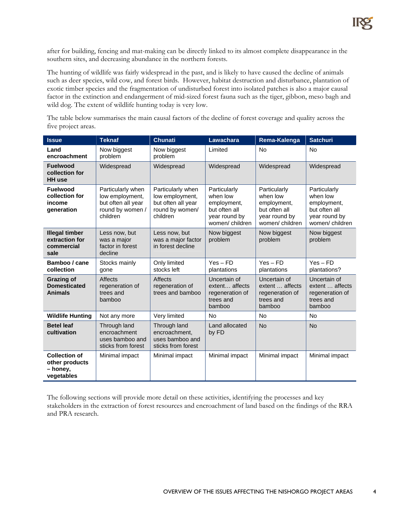after for building, fencing and mat-making can be directly linked to its almost complete disappearance in the southern sites, and decreasing abundance in the northern forests.

The hunting of wildlife was fairly widespread in the past, and is likely to have caused the decline of animals such as deer species, wild cow, and forest birds. However, habitat destruction and disturbance, plantation of exotic timber species and the fragmentation of undisturbed forest into isolated patches is also a major causal factor in the extinction and endangerment of mid-sized forest fauna such as the tiger, gibbon, meso bagh and wild dog. The extent of wildlife hunting today is very low.

The table below summarises the main causal factors of the decline of forest coverage and quality across the five project areas.

| <b>Issue</b>                                                     | <b>Teknaf</b>                                                                              | <b>Chunati</b>                                                                            | <b>Lawachara</b>                                                                            | Rema-Kalenga                                                                                | <b>Satchuri</b>                                                                              |
|------------------------------------------------------------------|--------------------------------------------------------------------------------------------|-------------------------------------------------------------------------------------------|---------------------------------------------------------------------------------------------|---------------------------------------------------------------------------------------------|----------------------------------------------------------------------------------------------|
| Land<br>encroachment                                             | Now biggest<br>problem                                                                     | Now biggest<br>problem                                                                    | Limited                                                                                     | <b>No</b>                                                                                   | <b>No</b>                                                                                    |
| <b>Fuelwood</b><br>collection for<br><b>HH</b> use               | Widespread                                                                                 | Widespread                                                                                | Widespread                                                                                  | Widespread                                                                                  | Widespread                                                                                   |
| <b>Fuelwood</b><br>collection for<br>income<br>qeneration        | Particularly when<br>low employment,<br>but often all year<br>round by women /<br>children | Particularly when<br>low employment,<br>but often all year<br>round by women/<br>children | Particularly<br>when low<br>employment,<br>but often all<br>year round by<br>women/children | Particularly<br>when low<br>employment,<br>but often all<br>year round by<br>women/children | Particularly<br>when low<br>employment,<br>but often all<br>year round by<br>women/ children |
| <b>Illegal timber</b><br>extraction for<br>commercial<br>sale    | Less now, but<br>was a major<br>factor in forest<br>decline                                | Less now, but<br>was a major factor<br>in forest decline                                  | Now biggest<br>problem                                                                      | Now biggest<br>problem                                                                      | Now biggest<br>problem                                                                       |
| Bamboo / cane<br>collection                                      | Stocks mainly<br>gone                                                                      | Only limited<br>stocks left                                                               | $Yes - FD$<br>plantations                                                                   | $Yes - FD$<br>plantations                                                                   | $Yes - FD$<br>plantations?                                                                   |
| <b>Grazing of</b><br><b>Domesticated</b><br><b>Animals</b>       | <b>Affects</b><br>regeneration of<br>trees and<br>bamboo                                   | <b>Affects</b><br>regeneration of<br>trees and bamboo                                     | Uncertain of<br>extent affects<br>regeneration of<br>trees and<br>bamboo                    | Uncertain of<br>extent  affects<br>regeneration of<br>trees and<br>bamboo                   | Uncertain of<br>extent  affects<br>regeneration of<br>trees and<br>bamboo                    |
| <b>Wildlife Hunting</b>                                          | Not any more                                                                               | Very limited                                                                              | <b>No</b>                                                                                   | <b>No</b>                                                                                   | <b>No</b>                                                                                    |
| <b>Betel leaf</b><br>cultivation                                 | Through land<br>encroachment<br>uses bamboo and<br>sticks from forest                      | Through land<br>encroachment,<br>uses bamboo and<br>sticks from forest                    | Land allocated<br>by FD                                                                     | <b>No</b>                                                                                   | <b>No</b>                                                                                    |
| <b>Collection of</b><br>other products<br>- honey,<br>vegetables | Minimal impact                                                                             | Minimal impact                                                                            | Minimal impact                                                                              | Minimal impact                                                                              | Minimal impact                                                                               |

The following sections will provide more detail on these activities, identifying the processes and key stakeholders in the extraction of forest resources and encroachment of land based on the findings of the RRA and PRA research.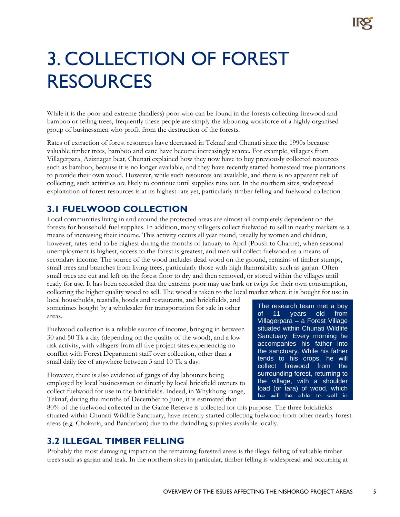### 3. COLLECTION OF FOREST RESOURCES

While it is the poor and extreme (landless) poor who can be found in the forests collecting firewood and bamboo or felling trees, frequently these people are simply the labouring workforce of a highly organised group of businessmen who profit from the destruction of the forests.

Rates of extraction of forest resources have decreased in Teknaf and Chunati since the 1990s because valuable timber trees, bamboo and cane have become increasingly scarce. For example, villagers from Villagerpara, Aziznagar beat, Chunati explained how they now have to buy previously collected resources such as bamboo, because it is no longer available, and they have recently started homestead tree plantations to provide their own wood. However, while such resources are available, and there is no apparent risk of collecting, such activities are likely to continue until supplies runs out. In the northern sites, widespread exploitation of forest resources is at its highest rate yet, particularly timber felling and fuelwood collection.

#### **3.1 FUELWOOD COLLECTION**

Local communities living in and around the protected areas are almost all completely dependent on the forests for household fuel supplies. In addition, many villagers collect fuelwood to sell in nearby markets as a means of increasing their income. This activity occurs all year round, usually by women and children, however, rates tend to be highest during the months of January to April (Poush to Chaitre), when seasonal unemployment is highest, access to the forest is greatest, and men will collect fuelwood as a means of secondary income. The source of the wood includes dead wood on the ground, remains of timber stumps, small trees and branches from living trees, particularly those with high flammability such as garjan. Often small trees are cut and left on the forest floor to dry and then removed, or stored within the villages until ready for use. It has been recorded that the extreme poor may use bark or twigs for their own consumption, collecting the higher quality wood to sell. The wood is taken to the local market where it is bought for use in

local households, teastalls, hotels and restaurants, and brickfields, and sometimes bought by a wholesaler for transportation for sale in other areas.

Fuelwood collection is a reliable source of income, bringing in between 30 and 50 Tk a day (depending on the quality of the wood), and a low risk activity, with villagers from all five project sites experiencing no conflict with Forest Department staff over collection, other than a small daily fee of anywhere between 3 and 10 Tk a day.

However, there is also evidence of gangs of day labourers being employed by local businessmen or directly by local brickfield owners to collect fuelwood for use in the brickfields. Indeed, in Whykhong range, Teknaf, during the months of December to June, it is estimated that

The research team met a boy of 11 years old from Villagerpara – a Forest Village situated within Chunati Wildlife Sanctuary. Every morning he accompanies his father into the sanctuary. While his father tends to his crops, he will collect firewood from the surrounding forest, returning to the village, with a shoulder load (or tara) of wood, which he will be able to sell in

80% of the fuelwood collected in the Game Reserve is collected for this purpose. The three brickfields situated within Chunati Wildlife Sanctuary, have recently started collecting fuelwood from other nearby forest areas (e.g. Chokaria, and Bandarban) due to the dwindling supplies available locally.

#### **3.2 ILLEGAL TIMBER FELLING**

Probably the most damaging impact on the remaining forested areas is the illegal felling of valuable timber trees such as garjan and teak. In the northern sites in particular, timber felling is widespread and occurring at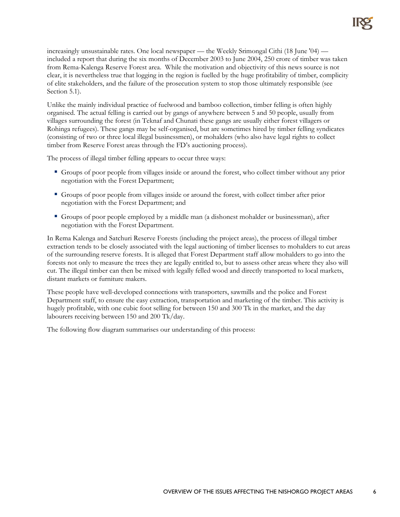increasingly unsustainable rates. One local newspaper — the Weekly Srimongal Cithi (18 June '04) included a report that during the six months of December 2003 to June 2004, 250 crore of timber was taken from Rema-Kalenga Reserve Forest area. While the motivation and objectivity of this news source is not clear, it is nevertheless true that logging in the region is fuelled by the huge profitability of timber, complicity of elite stakeholders, and the failure of the prosecution system to stop those ultimately responsible (see Section 5.1).

Unlike the mainly individual practice of fuelwood and bamboo collection, timber felling is often highly organised. The actual felling is carried out by gangs of anywhere between 5 and 50 people, usually from villages surrounding the forest (in Teknaf and Chunati these gangs are usually either forest villagers or Rohinga refugees). These gangs may be self-organised, but are sometimes hired by timber felling syndicates (consisting of two or three local illegal businessmen), or mohalders (who also have legal rights to collect timber from Reserve Forest areas through the FD's auctioning process).

The process of illegal timber felling appears to occur three ways:

- Groups of poor people from villages inside or around the forest, who collect timber without any prior negotiation with the Forest Department;
- Groups of poor people from villages inside or around the forest, with collect timber after prior negotiation with the Forest Department; and
- Groups of poor people employed by a middle man (a dishonest mohalder or businessman), after negotiation with the Forest Department.

In Rema Kalenga and Satchuri Reserve Forests (including the project areas), the process of illegal timber extraction tends to be closely associated with the legal auctioning of timber licenses to mohalders to cut areas of the surrounding reserve forests. It is alleged that Forest Department staff allow mohalders to go into the forests not only to measure the trees they are legally entitled to, but to assess other areas where they also will cut. The illegal timber can then be mixed with legally felled wood and directly transported to local markets, distant markets or furniture makers.

These people have well-developed connections with transporters, sawmills and the police and Forest Department staff, to ensure the easy extraction, transportation and marketing of the timber. This activity is hugely profitable, with one cubic foot selling for between 150 and 300 Tk in the market, and the day labourers receiving between 150 and 200 Tk/day.

The following flow diagram summarises our understanding of this process: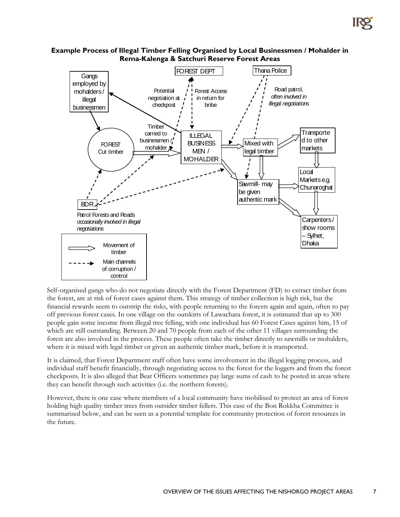

#### **Example Process of Illegal Timber Felling Organised by Local Businessmen / Mohalder in Rema-Kalenga & Satchuri Reserve Forest Areas**

Self-organised gangs who do not negotiate directly with the Forest Department (FD) to extract timber from the forest, are at risk of forest cases against them. This strategy of timber collection is high risk, but the financial rewards seem to outstrip the risks, with people returning to the forests again and again, often to pay off previous forest cases. In one village on the outskirts of Lawachara forest, it is estimated that up to 300 people gain some income from illegal tree felling, with one individual has 60 Forest Cases against him, 15 of which are still outstanding. Between 20 and 70 people from each of the other 11 villages surrounding the forest are also involved in the process. These people often take the timber directly to sawmills or mohalders, where it is mixed with legal timber or given an authentic timber mark, before it is transported.

It is claimed, that Forest Department staff often have some involvement in the illegal logging process, and individual staff benefit financially, through negotiating access to the forest for the loggers and from the forest checkposts. It is also alleged that Beat Officers sometimes pay large sums of cash to be posted in areas where they can benefit through such activities (i.e. the northern forests).

However, there is one case where members of a local community have mobilised to protect an area of forest holding high quality timber trees from outsider timber fellers. This case of the Bon Rokkha Committee is summarised below, and can be seen as a potential template for community protection of forest resources in the future.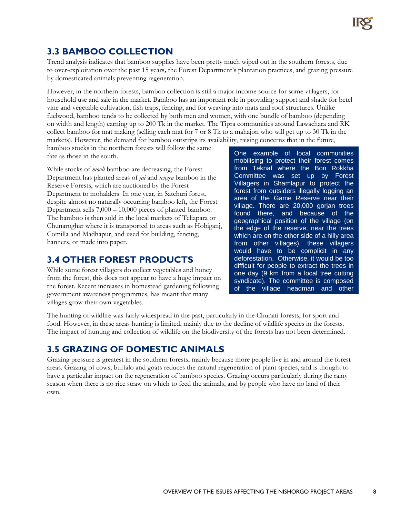### **3.3 BAMBOO COLLECTION**

Trend analysis indicates that bamboo supplies have been pretty much wiped out in the southern forests, due to over-exploitation over the past 15 years, the Forest Department's plantation practices, and grazing pressure by domesticated animals preventing regeneration.

However, in the northern forests, bamboo collection is still a major income source for some villagers, for household use and sale in the market. Bamboo has an important role in providing support and shade for betel vine and vegetable cultivation, fish traps, fencing, and for weaving into mats and roof structures. Unlike fuelwood, bamboo tends to be collected by both men and women, with one bundle of bamboo (depending on width and length) earning up to 200 Tk in the market. The Tipra communities around Lawachara and RK collect bamboo for mat making (selling each mat for 7 or 8 Tk to a mahajon who will get up to 30 Tk in the markets). However, the demand for bamboo outstrips its availability, raising concerns that in the future,

bamboo stocks in the northern forests will follow the same fate as those in the south.

While stocks of *mooli* bamboo are decreasing, the Forest Department has planted areas of *jai* and *tengra* bamboo in the Reserve Forests, which are auctioned by the Forest Department to mohalders. In one year, in Satchuri forest, despite almost no naturally occurring bamboo left, the Forest Department sells 7,000 – 10,000 pieces of planted bamboo*.*  The bamboo is then sold in the local markets of Teliapara or Chunaroghar where it is transported to areas such as Hobiganj, Comilla and Madhapur, and used for building, fencing, banners, or made into paper.

#### **3.4 OTHER FOREST PRODUCTS**

While some forest villagers do collect vegetables and honey from the forest, this does not appear to have a huge impact on the forest. Recent increases in homestead gardening following government awareness programmes, has meant that many villages grow their own vegetables.

One example of local communities mobilising to protect their forest comes from Teknaf where the Bon Rokkha Committee was set up by Forest Villagers in Shamlapur to protect the forest from outsiders illegally logging an area of the Game Reserve near their village. There are 20,000 gorjan trees found there, and because of the geographical position of the village (on the edge of the reserve, near the trees which are on the other side of a hilly area from other villages), these villagers would have to be complicit in any deforestation. Otherwise, it would be too difficult for people to extract the trees in one day (9 km from a local tree cutting syndicate). The committee is composed of the village headman and other

The hunting of wildlife was fairly widespread in the past, particularly in the Chunati forests, for sport and food. However, in these areas hunting is limited, mainly due to the decline of wildlife species in the forests. The impact of hunting and collection of wildlife on the biodiversity of the forests has not been determined.

#### **3.5 GRAZING OF DOMESTIC ANIMALS**

Grazing pressure is greatest in the southern forests, mainly because more people live in and around the forest areas. Grazing of cows, buffalo and goats reduces the natural regeneration of plant species, and is thought to have a particular impact on the regeneration of bamboo species. Grazing occurs particularly during the rainy season when there is no rice straw on which to feed the animals, and by people who have no land of their own.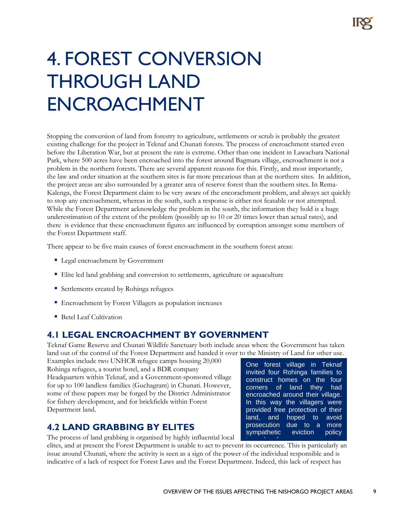### 4. FOREST CONVERSION THROUGH LAND ENCROACHMENT

Stopping the conversion of land from forestry to agriculture, settlements or scrub is probably the greatest existing challenge for the project in Teknaf and Chunati forests. The process of encroachment started even before the Liberation War, but at present the rate is extreme. Other than one incident in Lawachara National Park, where 500 acres have been encroached into the forest around Bagmara village, encroachment is not a problem in the northern forests. There are several apparent reasons for this. Firstly, and most importantly, the law and order situation at the southern sites is far more precarious than at the northern sites. In addition, the project areas are also surrounded by a greater area of reserve forest than the southern sites. In Rema-Kalenga, the Forest Department claim to be very aware of the encorachment problem, and always act quickly to stop any encroachment, whereas in the south, such a response is either not feasable or not attempted. While the Forest Department acknowledge the problem in the south, the information they hold is a huge underestimation of the extent of the problem (possibly up to 10 or 20 times lower than actual rates), and there is evidence that these encroachment figures are influenced by corruption amongst some members of the Forest Department staff.

There appear to be five main causes of forest encroachment in the southern forest areas:

- **Legal encroachment by Government**
- Elite led land grabbing and conversion to settlements, agriculture or aquaculture
- Settlements created by Rohinga refugees
- Encroachment by Forest Villagers as population increases
- Betel Leaf Cultivation

#### **4.1 LEGAL ENCROACHMENT BY GOVERNMENT**

Teknaf Game Reserve and Chunati Wildlife Sanctuary both include areas where the Government has taken land out of the control of the Forest Department and handed it over to the Ministry of Land for other use.

Examples include two UNHCR refugee camps housing 20,000 Rohinga refugees, a tourist hotel, and a BDR company Headquarters within Teknaf, and a Government-sponsored village for up to 100 landless families (Guchagram) in Chunati. However, some of these papers may be forged by the District Administrator for fishery development, and for brickfields within Forest Department land.

#### **4.2 LAND GRABBING BY ELITES**

The process of land grabbing is organised by highly influential local

elites, and at present the Forest Department is unable to act to prevent its occurrence. This is particularly an issue around Chunati, where the activity is seen as a sign of the power of the individual responsible and is indicative of a lack of respect for Forest Laws and the Forest Department. Indeed, this lack of respect has t de la contrata dels dels de la contrata de la contrata de la contrata de la contrata de la contrata de la co<br>La contrata de la contrata de la contrata de la contrata de la contrata de la contrata de la contrata de la co

One forest village in Teknaf invited four Rohinga families to construct homes on the four corners of land they had encroached around their village. In this way the villagers were provided free protection of their land, and hoped to avoid prosecution due to a more sympathetic eviction policy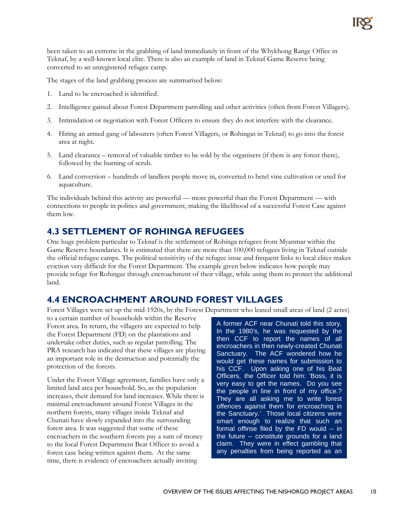been taken to an extreme in the grabbing of land immediately in front of the Whykhong Range Office in Teknaf, by a well-known local elite. There is also an example of land in Teknaf Game Reserve being converted to an unregistered refugee camp.

The stages of the land grabbing process are summarised below:

- 1. Land to be encroached is identified.
- 2. Intelligence gained about Forest Department patrolling and other activities (often from Forest Villagers).
- 3. Intimidation or negotiation with Forest Officers to ensure they do not interfere with the clearance.
- 4. Hiring an armed gang of labourers (often Forest Villagers, or Rohingas in Teknaf) to go into the forest area at night.
- 5. Land clearance removal of valuable timber to be sold by the organisers (if there is any forest there), followed by the burning of scrub.
- 6. Land conversion hundreds of landless people move in, converted to betel vine cultivation or used for aquaculture.

The individuals behind this activity are powerful — more powerful than the Forest Department — with connections to people in politics and government, making the likelihood of a successful Forest Case against them low.

#### **4.3 SETTLEMENT OF ROHINGA REFUGEES**

One huge problem particular to Teknaf is the settlement of Rohinga refugees from Myanmar within the Game Reserve boundaries. It is estimated that there are more than 100,000 refugees living in Teknaf outside the official refugee camps. The political sensitivity of the refugee issue and frequent links to local elites makes eviction very difficult for the Forest Department. The example given below indicates how people may provide refuge for Rohingas through encroachment of their village, while using them to protect the additional land.

#### **4.4 ENCROACHMENT AROUND FOREST VILLAGES**

Forest Villages were set up the mid-1920s, by the Forest Department who leased small areas of land (2 acres)

to a certain number of households within the Reserve Forest area. In return, the villagers are expected to help the Forest Department (FD) on the plantations and undertake other duties, such as regular patrolling. The PRA research has indicated that these villages are playing an important role in the destruction and potentially the protection of the forests.

Under the Forest Village agreement, families have only a limited land area per household. So, as the population increases, their demand for land increases. While there is minimal encroachment around Forest Villages in the northern forests, many villages inside Teknaf and Chunati have slowly expanded into the surrounding forest area. It was suggested that some of these encroachers in the southern forests pay a sum of money to the local Forest Department Beat Officer to avoid a forest case being written against them. At the same time, there is evidence of encroachers actually inviting

A former ACF near Chunati told this story. In the 1980's, he was requested by the then CCF to report the names of all encroachers in then newly-created Chunati Sanctuary. The ACF wondered how he would get these names for submission to his CCF. Upon asking one of his Beat Officers, the Officer told him: 'Boss, it is very easy to get the names. Do you see the people in line in front of my office.? They are all asking me to write forest offences against them for encroaching in the Sanctuary.' Those local citizens were smart enough to realize that such an formal offinse filed by the FD would -- in the future -- constitute grounds for a land claim. They were in effect gambling that any penalties from being reported as an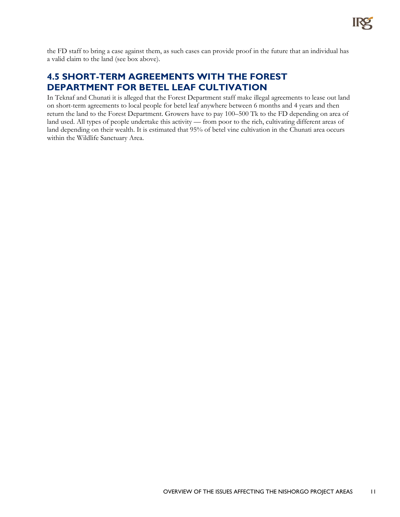

the FD staff to bring a case against them, as such cases can provide proof in the future that an individual has a valid claim to the land (see box above).

#### **4.5 SHORT-TERM AGREEMENTS WITH THE FOREST DEPARTMENT FOR BETEL LEAF CULTIVATION**

In Teknaf and Chunati it is alleged that the Forest Department staff make illegal agreements to lease out land on short-term agreements to local people for betel leaf anywhere between 6 months and 4 years and then return the land to the Forest Department. Growers have to pay 100–500 Tk to the FD depending on area of land used. All types of people undertake this activity — from poor to the rich, cultivating different areas of land depending on their wealth. It is estimated that 95% of betel vine cultivation in the Chunati area occurs within the Wildlife Sanctuary Area.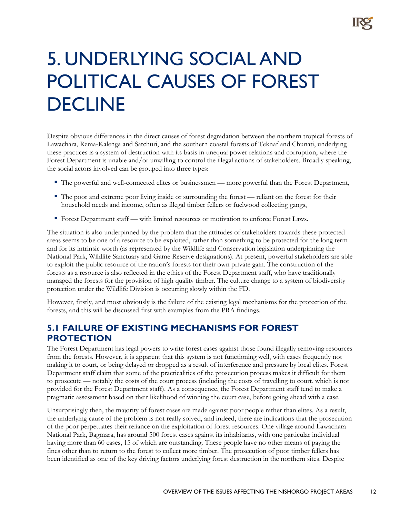### 5. UNDERLYING SOCIAL AND POLITICAL CAUSES OF FOREST DECLINE

Despite obvious differences in the direct causes of forest degradation between the northern tropical forests of Lawachara, Rema-Kalenga and Satchuri, and the southern coastal forests of Teknaf and Chunati, underlying these practices is a system of destruction with its basis in unequal power relations and corruption, where the Forest Department is unable and/or unwilling to control the illegal actions of stakeholders. Broadly speaking, the social actors involved can be grouped into three types:

- The powerful and well-connected elites or businessmen more powerful than the Forest Department,
- The poor and extreme poor living inside or surrounding the forest reliant on the forest for their household needs and income, often as illegal timber fellers or fuelwood collecting gangs,
- Forest Department staff with limited resources or motivation to enforce Forest Laws.

The situation is also underpinned by the problem that the attitudes of stakeholders towards these protected areas seems to be one of a resource to be exploited, rather than something to be protected for the long term and for its intrinsic worth (as represented by the Wildlife and Conservation legislation underpinning the National Park, Wildlife Sanctuary and Game Reserve designations). At present, powerful stakeholders are able to exploit the public resource of the nation's forests for their own private gain. The construction of the forests as a resource is also reflected in the ethics of the Forest Department staff, who have traditionally managed the forests for the provision of high quality timber. The culture change to a system of biodiversity protection under the Wildlife Division is occurring slowly within the FD.

However, firstly, and most obviously is the failure of the existing legal mechanisms for the protection of the forests, and this will be discussed first with examples from the PRA findings.

#### **5.1 FAILURE OF EXISTING MECHANISMS FOR FOREST PROTECTION**

The Forest Department has legal powers to write forest cases against those found illegally removing resources from the forests. However, it is apparent that this system is not functioning well, with cases frequently not making it to court, or being delayed or dropped as a result of interference and pressure by local elites. Forest Department staff claim that some of the practicalities of the prosecution process makes it difficult for them to prosecute — notably the costs of the court process (including the costs of travelling to court, which is not provided for the Forest Department staff). As a consequence, the Forest Department staff tend to make a pragmatic assessment based on their likelihood of winning the court case, before going ahead with a case.

Unsurprisingly then, the majority of forest cases are made against poor people rather than elites. As a result, the underlying cause of the problem is not really solved, and indeed, there are indications that the prosecution of the poor perpetuates their reliance on the exploitation of forest resources. One village around Lawachara National Park, Bagmara, has around 500 forest cases against its inhabitants, with one particular individual having more than 60 cases, 15 of which are outstanding. These people have no other means of paying the fines other than to return to the forest to collect more timber. The prosecution of poor timber fellers has been identified as one of the key driving factors underlying forest destruction in the northern sites. Despite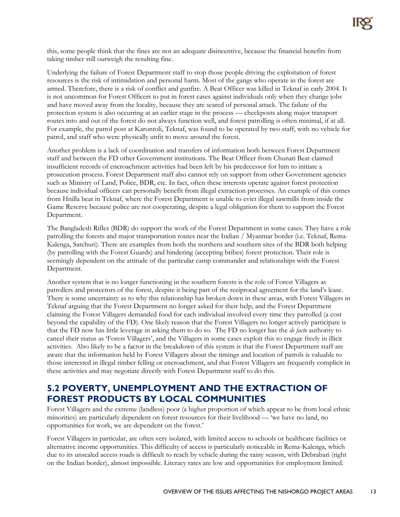this, some people think that the fines are not an adequate disincentive, because the financial benefits from taking timber still outweigh the resulting fine.

Underlying the failure of Forest Department staff to stop those people driving the exploitation of forest resources is the risk of intimidation and personal harm. Most of the gangs who operate in the forest are armed. Therefore, there is a risk of conflict and gunfire. A Beat Officer was killed in Teknaf in early 2004. It is not uncommon for Forest Officers to put in forest cases against individuals only when they change jobs and have moved away from the locality, because they are scared of personal attack. The failure of the protection system is also occurring at an earlier stage in the process — checkposts along major transport routes into and out of the forest do not always function well, and forest patrolling is often minimal, if at all. For example, the patrol post at Karontoli, Teknaf, was found to be operated by two staff, with no vehicle for patrol, and staff who were physically unfit to move around the forest.

Another problem is a lack of coordination and transfers of information both between Forest Department staff and between the FD other Government institutions. The Beat Officer from Chunati Beat claimed insufficient records of encroachment activities had been left by his predecessor for him to initiate a prosecution process. Forest Department staff also cannot rely on support from other Government agencies such as Ministry of Land, Police, BDR, etc. In fact, often these interests operate against forest protection because individual officers can personally benefit from illegal extraction processes. An example of this comes from Hnilla beat in Teknaf, where the Forest Department is unable to evict illegal sawmills from inside the Game Reserve because police are not cooperating, despite a legal obligation for them to support the Forest Department.

The Bangladesh Rifles (BDR) do support the work of the Forest Department in some cases. They have a role patrolling the forests and major transportation routes near the Indian / Myanmar border (i.e. Teknaf, Rema-Kalenga, Satchuri). There are examples from both the northern and southern sites of the BDR both helping (by patrolling with the Forest Guards) and hindering (accepting bribes) forest protection. Their role is seemingly dependent on the attitude of the particular camp commander and relationships with the Forest Department.

Another system that is no longer functioning in the southern forests is the role of Forest Villagers as patrollers and protectors of the forest, despite it being part of the reciprocal agreement for the land's lease. There is some uncertainty as to why this relationship has broken down in these areas, with Forest Villagers in Teknaf arguing that the Forest Department no longer asked for their help, and the Forest Department claiming the Forest Villagers demanded food for each individual involved every time they patrolled (a cost beyond the capability of the FD). One likely reason that the Forest Villagers no longer actively participate is that the FD now has little leverage in asking them to do so. The FD no longer has the *de facto* authority to cancel their status as 'Forest Villagers', and the Villagers in some cases exploit this to engage freely in illicit activities. Also likely to be a factor in the breakdown of this system is that the Forest Department staff are aware that the information held by Forest Villagers about the timings and location of patrols is valuable to those interested in illegal timber felling or encroachment, and that Forest Villagers are frequently complicit in these activities and may negotiate directly with Forest Department staff to do this.

#### **5.2 POVERTY, UNEMPLOYMENT AND THE EXTRACTION OF FOREST PRODUCTS BY LOCAL COMMUNITIES**

Forest Villagers and the extreme (landless) poor (a higher proportion of which appear to be from local ethnic minorities) are particularly dependent on forest resources for their livelihood — 'we have no land, no opportunities for work, we are dependent on the forest.'

Forest Villagers in particular, are often very isolated, with limited access to schools or healthcare facilities or alternative income opportunities. This difficulty of access is particularly noticeable in Rema-Kalenga, which due to its unsealed access roads is difficult to reach by vehicle during the rainy season, with Debrabari (right on the Indian border), almost impossible. Literacy rates are low and opportunities for employment limited.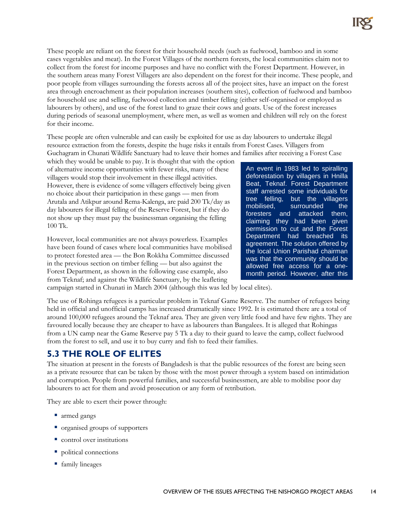These people are reliant on the forest for their household needs (such as fuelwood, bamboo and in some cases vegetables and meat). In the Forest Villages of the northern forests, the local communities claim not to collect from the forest for income purposes and have no conflict with the Forest Department. However, in the southern areas many Forest Villagers are also dependent on the forest for their income. These people, and poor people from villages surrounding the forests across all of the project sites, have an impact on the forest area through encroachment as their population increases (southern sites), collection of fuelwood and bamboo for household use and selling, fuelwood collection and timber felling (either self-organised or employed as labourers by others), and use of the forest land to graze their cows and goats. Use of the forest increases during periods of seasonal unemployment, where men, as well as women and children will rely on the forest for their income.

These people are often vulnerable and can easily be exploited for use as day labourers to undertake illegal resource extraction from the forests, despite the huge risks it entails from Forest Cases. Villagers from Guchagram in Chunati Wildlife Sanctuary had to leave their homes and families after receiving a Forest Case

which they would be unable to pay. It is thought that with the option of alternative income opportunities with fewer risks, many of these villagers would stop their involvement in these illegal activities. However, there is evidence of some villagers effectively being given no choice about their participation in these gangs — men from Arutala and Atikpur around Rema-Kalenga, are paid 200 Tk/day as day labourers for illegal felling of the Reserve Forest, but if they do not show up they must pay the businessman organising the felling 100 Tk.

However, local communities are not always powerless. Examples have been found of cases where local communities have mobilised to protect forested area — the Bon Rokkha Committee discussed in the previous section on timber felling — but also against the Forest Department, as shown in the following case example, also from Teknaf; and against the Wildlife Sanctuary, by the leafleting

An event in 1983 led to spiralling deforestation by villagers in Hnilla Beat, Teknaf. Forest Department staff arrested some individuals for tree felling, but the villagers mobilised, surrounded the foresters and attacked them, claiming they had been given permission to cut and the Forest Department had breached its agreement. The solution offered by the local Union Parishad chairman was that the community should be allowed free access for a onemonth period. However, after this

campaign started in Chunati in March 2004 (although this was led by local elites).

The use of Rohinga refugees is a particular problem in Teknaf Game Reserve. The number of refugees being held in official and unofficial camps has increased dramatically since 1992. It is estimated there are a total of around 100,000 refugees around the Teknaf area. They are given very little food and have few rights. They are favoured locally because they are cheaper to have as labourers than Bangalees. It is alleged that Rohingas from a UN camp near the Game Reserve pay 5 Tk a day to their guard to leave the camp, collect fuelwood from the forest to sell, and use it to buy curry and fish to feed their families.

#### **5.3 THE ROLE OF ELITES**

The situation at present in the forests of Bangladesh is that the public resources of the forest are being seen as a private resource that can be taken by those with the most power through a system based on intimidation and corruption. People from powerful families, and successful businessmen, are able to mobilise poor day labourers to act for them and avoid prosecution or any form of retribution.

They are able to exert their power through:

- armed gangs
- organised groups of supporters
- **CONTROL** control over institutions
- political connections
- family lineages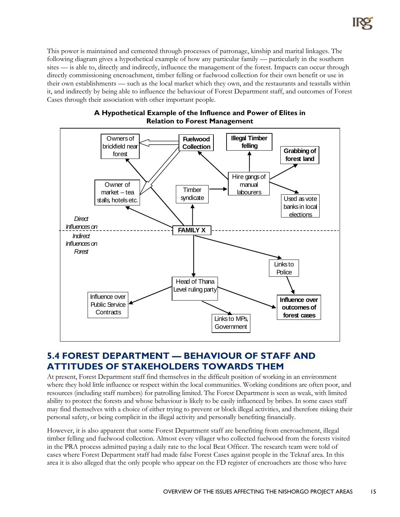This power is maintained and cemented through processes of patronage, kinship and marital linkages. The following diagram gives a hypothetical example of how any particular family — particularly in the southern sites — is able to, directly and indirectly, influence the management of the forest. Impacts can occur through directly commissioning encroachment, timber felling or fuelwood collection for their own benefit or use in their own establishments — such as the local market which they own, and the restaurants and teastalls within it, and indirectly by being able to influence the behaviour of Forest Department staff, and outcomes of Forest Cases through their association with other important people.



#### **A Hypothetical Example of the Influence and Power of Elites in Relation to Forest Management**

#### **5.4 FOREST DEPARTMENT — BEHAVIOUR OF STAFF AND ATTITUDES OF STAKEHOLDERS TOWARDS THEM**

At present, Forest Department staff find themselves in the difficult position of working in an environment where they hold little influence or respect within the local communities. Working conditions are often poor, and resources (including staff numbers) for patrolling limited. The Forest Department is seen as weak, with limited ability to protect the forests and whose behaviour is likely to be easily influenced by bribes. In some cases staff may find themselves with a choice of either trying to prevent or block illegal activities, and therefore risking their personal safety, or being complicit in the illegal activity and personally benefiting financially.

However, it is also apparent that some Forest Department staff are benefiting from encroachment, illegal timber felling and fuelwood collection. Almost every villager who collected fuelwood from the forests visited in the PRA process admitted paying a daily rate to the local Beat Officer. The research team were told of cases where Forest Department staff had made false Forest Cases against people in the Teknaf area. In this area it is also alleged that the only people who appear on the FD register of encroachers are those who have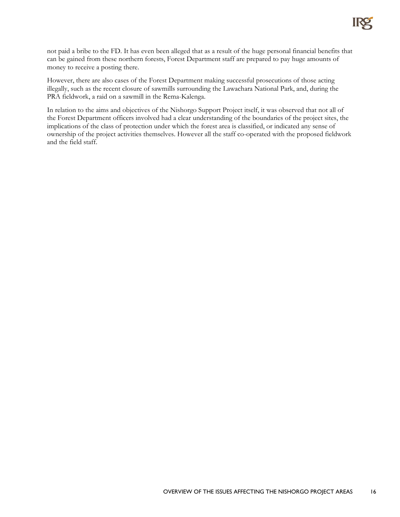

not paid a bribe to the FD. It has even been alleged that as a result of the huge personal financial benefits that can be gained from these northern forests, Forest Department staff are prepared to pay huge amounts of money to receive a posting there.

However, there are also cases of the Forest Department making successful prosecutions of those acting illegally, such as the recent closure of sawmills surrounding the Lawachara National Park, and, during the PRA fieldwork, a raid on a sawmill in the Rema-Kalenga.

In relation to the aims and objectives of the Nishorgo Support Project itself, it was observed that not all of the Forest Department officers involved had a clear understanding of the boundaries of the project sites, the implications of the class of protection under which the forest area is classified, or indicated any sense of ownership of the project activities themselves. However all the staff co-operated with the proposed fieldwork and the field staff.